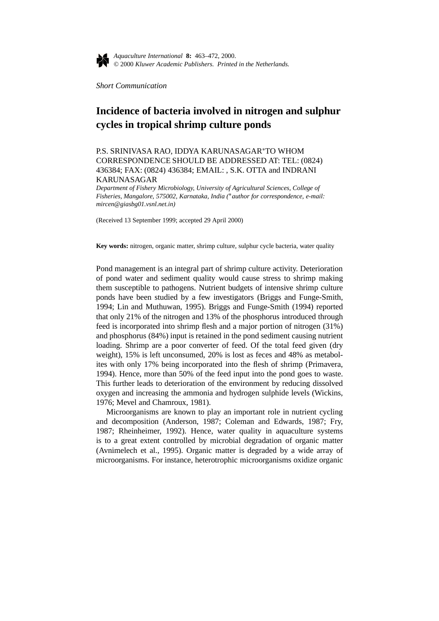

*Aquaculture International* **8:** 463–472, 2000. © 2000 *Kluwer Academic Publishers. Printed in the Netherlands.*

*Short Communication*

## **Incidence of bacteria involved in nitrogen and sulphur cycles in tropical shrimp culture ponds**

P.S. SRINIVASA RAO, IDDYA KARUNASAGAR∗TO WHOM CORRESPONDENCE SHOULD BE ADDRESSED AT: TEL: (0824) 436384; FAX: (0824) 436384; EMAIL: , S.K. OTTA and INDRANI KARUNASAGAR

*Department of Fishery Microbiology, University of Agricultural Sciences, College of Fisheries, Mangalore, 575002, Karnataka, India (*∗*author for correspondence, e-mail: mircen@giasbg01.vsnl.net.in)*

(Received 13 September 1999; accepted 29 April 2000)

**Key words:** nitrogen, organic matter, shrimp culture, sulphur cycle bacteria, water quality

Pond management is an integral part of shrimp culture activity. Deterioration of pond water and sediment quality would cause stress to shrimp making them susceptible to pathogens. Nutrient budgets of intensive shrimp culture ponds have been studied by a few investigators (Briggs and Funge-Smith, 1994; Lin and Muthuwan, 1995). Briggs and Funge-Smith (1994) reported that only 21% of the nitrogen and 13% of the phosphorus introduced through feed is incorporated into shrimp flesh and a major portion of nitrogen (31%) and phosphorus (84%) input is retained in the pond sediment causing nutrient loading. Shrimp are a poor converter of feed. Of the total feed given (dry weight), 15% is left unconsumed, 20% is lost as feces and 48% as metabolites with only 17% being incorporated into the flesh of shrimp (Primavera, 1994). Hence, more than 50% of the feed input into the pond goes to waste. This further leads to deterioration of the environment by reducing dissolved oxygen and increasing the ammonia and hydrogen sulphide levels (Wickins, 1976; Mevel and Chamroux, 1981).

Microorganisms are known to play an important role in nutrient cycling and decomposition (Anderson, 1987; Coleman and Edwards, 1987; Fry, 1987; Rheinheimer, 1992). Hence, water quality in aquaculture systems is to a great extent controlled by microbial degradation of organic matter (Avnimelech et al., 1995). Organic matter is degraded by a wide array of microorganisms. For instance, heterotrophic microorganisms oxidize organic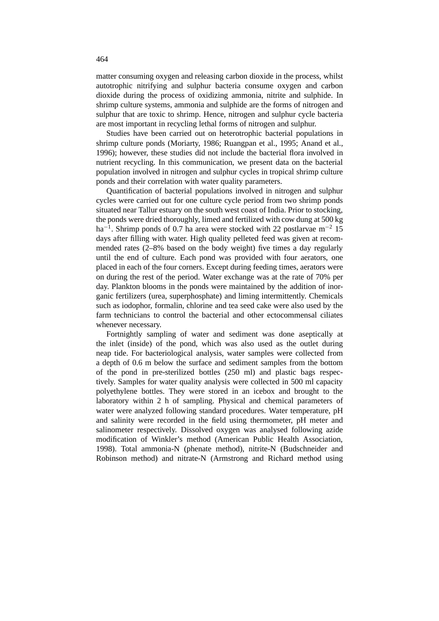matter consuming oxygen and releasing carbon dioxide in the process, whilst autotrophic nitrifying and sulphur bacteria consume oxygen and carbon dioxide during the process of oxidizing ammonia, nitrite and sulphide. In shrimp culture systems, ammonia and sulphide are the forms of nitrogen and sulphur that are toxic to shrimp. Hence, nitrogen and sulphur cycle bacteria are most important in recycling lethal forms of nitrogen and sulphur.

Studies have been carried out on heterotrophic bacterial populations in shrimp culture ponds (Moriarty, 1986; Ruangpan et al., 1995; Anand et al., 1996); however, these studies did not include the bacterial flora involved in nutrient recycling. In this communication, we present data on the bacterial population involved in nitrogen and sulphur cycles in tropical shrimp culture ponds and their correlation with water quality parameters.

Quantification of bacterial populations involved in nitrogen and sulphur cycles were carried out for one culture cycle period from two shrimp ponds situated near Tallur estuary on the south west coast of India. Prior to stocking, the ponds were dried thoroughly, limed and fertilized with cow dung at 500 kg ha<sup>-1</sup>. Shrimp ponds of 0.7 ha area were stocked with 22 postlarvae m<sup>-2</sup> 15 days after filling with water. High quality pelleted feed was given at recommended rates (2–8% based on the body weight) five times a day regularly until the end of culture. Each pond was provided with four aerators, one placed in each of the four corners. Except during feeding times, aerators were on during the rest of the period. Water exchange was at the rate of 70% per day. Plankton blooms in the ponds were maintained by the addition of inorganic fertilizers (urea, superphosphate) and liming intermittently. Chemicals such as iodophor, formalin, chlorine and tea seed cake were also used by the farm technicians to control the bacterial and other ectocommensal ciliates whenever necessary.

Fortnightly sampling of water and sediment was done aseptically at the inlet (inside) of the pond, which was also used as the outlet during neap tide. For bacteriological analysis, water samples were collected from a depth of 0.6 m below the surface and sediment samples from the bottom of the pond in pre-sterilized bottles (250 ml) and plastic bags respectively. Samples for water quality analysis were collected in 500 ml capacity polyethylene bottles. They were stored in an icebox and brought to the laboratory within 2 h of sampling. Physical and chemical parameters of water were analyzed following standard procedures. Water temperature, pH and salinity were recorded in the field using thermometer, pH meter and salinometer respectively. Dissolved oxygen was analysed following azide modification of Winkler's method (American Public Health Association, 1998). Total ammonia-N (phenate method), nitrite-N (Budschneider and Robinson method) and nitrate-N (Armstrong and Richard method using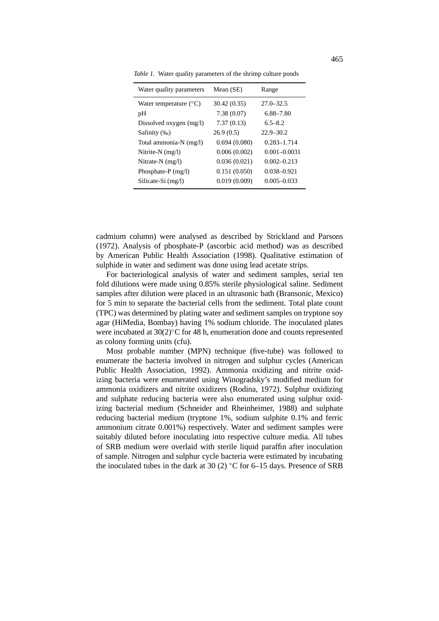*Table 1.* Water quality parameters of the shrimp culture ponds

| Water quality parameters        | Mean (SE)    | Range            |
|---------------------------------|--------------|------------------|
| Water temperature $(^{\circ}C)$ | 30.42 (0.35) | $27.0 - 32.5$    |
| pH                              | 7.38(0.07)   | 6.88–7.80        |
| Dissolved oxygen (mg/l)         | 7.37(0.13)   | $6.5 - 8.2$      |
| Salinity (‰)                    | 26.9(0.5)    | $22.9 - 30.2$    |
| Total ammonia-N (mg/l)          | 0.694(0.080) | $0.283 - 1.714$  |
| Nitrite-N $(mg/l)$              | 0.006(0.002) | $0.001 - 0.0031$ |
| Nitrate-N (mg/l)                | 0.036(0.021) | $0.002 - 0.213$  |
| Phosphate-P $(mg/l)$            | 0.151(0.050) | $0.038 - 0.921$  |
| Silicate-Si (mg/l)              | 0.019(0.009) | $0.005 - 0.033$  |

cadmium column) were analysed as described by Strickland and Parsons (1972). Analysis of phosphate-P (ascorbic acid method) was as described by American Public Health Association (1998). Qualitative estimation of sulphide in water and sediment was done using lead acetate strips.

For bacteriological analysis of water and sediment samples, serial ten fold dilutions were made using 0.85% sterile physiological saline. Sediment samples after dilution were placed in an ultrasonic bath (Bransonic, Mexico) for 5 min to separate the bacterial cells from the sediment. Total plate count (TPC) was determined by plating water and sediment samples on tryptone soy agar (HiMedia, Bombay) having 1% sodium chloride. The inoculated plates were incubated at 30(2)°C for 48 h, enumeration done and counts represented as colony forming units (cfu).

Most probable number (MPN) technique (five-tube) was followed to enumerate the bacteria involved in nitrogen and sulphur cycles (American Public Health Association, 1992). Ammonia oxidizing and nitrite oxidizing bacteria were enumerated using Winogradsky's modified medium for ammonia oxidizers and nitrite oxidizers (Rodina, 1972). Sulphur oxidizing and sulphate reducing bacteria were also enumerated using sulphur oxidizing bacterial medium (Schneider and Rheinheimer, 1988) and sulphate reducing bacterial medium (tryptone 1%, sodium sulphite 0.1% and ferric ammonium citrate 0.001%) respectively. Water and sediment samples were suitably diluted before inoculating into respective culture media. All tubes of SRB medium were overlaid with sterile liquid paraffin after inoculation of sample. Nitrogen and sulphur cycle bacteria were estimated by incubating the inoculated tubes in the dark at 30 (2)  $°C$  for 6–15 days. Presence of SRB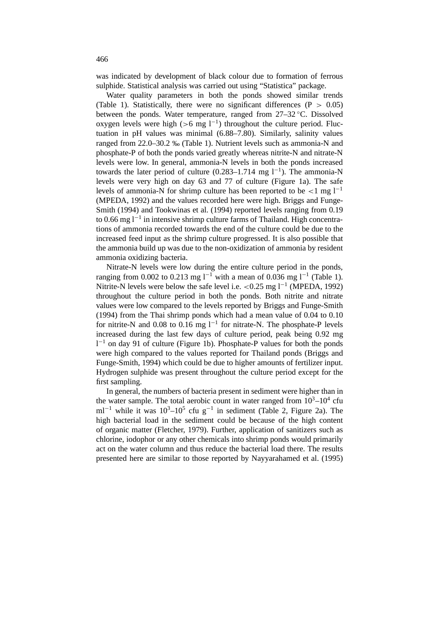was indicated by development of black colour due to formation of ferrous sulphide. Statistical analysis was carried out using "Statistica" package.

Water quality parameters in both the ponds showed similar trends (Table 1). Statistically, there were no significant differences (P *>* 0.05) between the ponds. Water temperature, ranged from 27–32 ◦C. Dissolved oxygen levels were high ( $>6$  mg l<sup>-1</sup>) throughout the culture period. Fluctuation in pH values was minimal (6.88–7.80). Similarly, salinity values ranged from 22.0–30.2 ‰ (Table 1). Nutrient levels such as ammonia-N and phosphate-P of both the ponds varied greatly whereas nitrite-N and nitrate-N levels were low. In general, ammonia-N levels in both the ponds increased towards the later period of culture  $(0.283-1.714 \text{ mg } 1^{-1})$ . The ammonia-N levels were very high on day 63 and 77 of culture (Figure 1a). The safe levels of ammonia-N for shrimp culture has been reported to be  $\lt 1$  mg l<sup>-1</sup> (MPEDA, 1992) and the values recorded here were high. Briggs and Funge-Smith (1994) and Tookwinas et al. (1994) reported levels ranging from 0.19 to 0.66 mg l−<sup>1</sup> in intensive shrimp culture farms of Thailand. High concentrations of ammonia recorded towards the end of the culture could be due to the increased feed input as the shrimp culture progressed. It is also possible that the ammonia build up was due to the non-oxidization of ammonia by resident ammonia oxidizing bacteria.

Nitrate-N levels were low during the entire culture period in the ponds, ranging from 0.002 to 0.213 mg l<sup>−1</sup> with a mean of 0.036 mg l<sup>−1</sup> (Table 1). Nitrite-N levels were below the safe level i.e. *<*0.25 mg l−<sup>1</sup> (MPEDA, 1992) throughout the culture period in both the ponds. Both nitrite and nitrate values were low compared to the levels reported by Briggs and Funge-Smith (1994) from the Thai shrimp ponds which had a mean value of 0.04 to 0.10 for nitrite-N and 0.08 to 0.16 mg  $l^{-1}$  for nitrate-N. The phosphate-P levels increased during the last few days of culture period, peak being 0.92 mg  $1<sup>-1</sup>$  on day 91 of culture (Figure 1b). Phosphate-P values for both the ponds were high compared to the values reported for Thailand ponds (Briggs and Funge-Smith, 1994) which could be due to higher amounts of fertilizer input. Hydrogen sulphide was present throughout the culture period except for the first sampling.

In general, the numbers of bacteria present in sediment were higher than in the water sample. The total aerobic count in water ranged from  $10^3-10^4$  cfu ml<sup>-1</sup> while it was  $10^3$ - $10^5$  cfu g<sup>-1</sup> in sediment (Table 2, Figure 2a). The high bacterial load in the sediment could be because of the high content of organic matter (Fletcher, 1979). Further, application of sanitizers such as chlorine, iodophor or any other chemicals into shrimp ponds would primarily act on the water column and thus reduce the bacterial load there. The results presented here are similar to those reported by Nayyarahamed et al. (1995)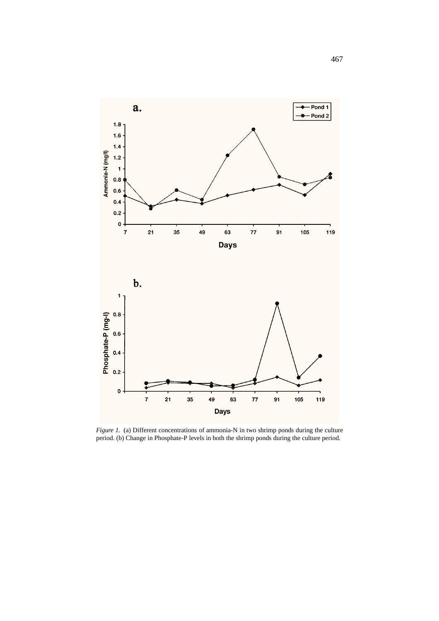

*Figure 1.* (a) Different concentrations of ammonia-N in two shrimp ponds during the culture period. (b) Change in Phosphate-P levels in both the shrimp ponds during the culture period.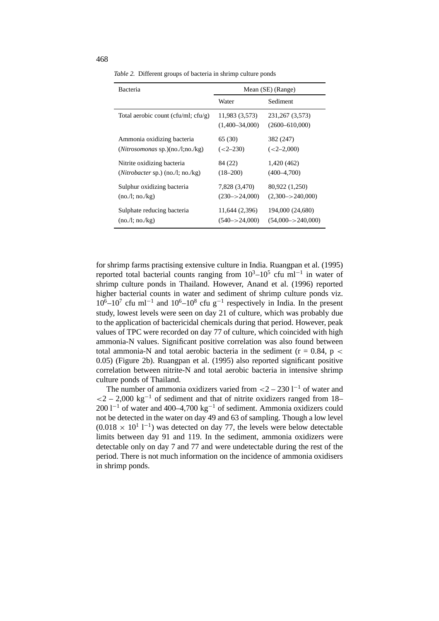| Bacteria                             | Mean (SE) (Range)                  |                                         |
|--------------------------------------|------------------------------------|-----------------------------------------|
|                                      | Water                              | Sediment                                |
| Total aerobic count (cfu/ml; cfu/g)  | 11,983 (3,573)<br>$(1,400-34,000)$ | 231, 267 (3, 573)<br>$(2600 - 610,000)$ |
| Ammonia oxidizing bacteria           | 65 (30)                            | 382 (247)                               |
| $(Nitrosomonas$ sp. $)(no/l;no/kg)$  | $(<2 - 230)$                       | $(<2-2,000)$                            |
| Nitrite oxidizing bacteria           | 84 (22)                            | 1,420 (462)                             |
| $(Nitrobacter$ sp.) $(no.l; no./kg)$ | $(18 - 200)$                       | $(400 - 4.700)$                         |
| Sulphur oxidizing bacteria           | 7,828 (3,470)                      | 80,922 (1,250)                          |
| (no.l; no./kg)                       | $(230 - > 24,000)$                 | $(2.300 - > 240.000)$                   |
| Sulphate reducing bacteria           | 11,644 (2,396)                     | 194,000 (24,680)                        |
| (no.l; no./kg)                       | $(540 - > 24,000)$                 | $(54,000 \rightarrow 240,000)$          |

*Table 2.* Different groups of bacteria in shrimp culture ponds

for shrimp farms practising extensive culture in India. Ruangpan et al. (1995) reported total bacterial counts ranging from  $10^3$ – $10^5$  cfu ml<sup>-1</sup> in water of shrimp culture ponds in Thailand. However, Anand et al. (1996) reported higher bacterial counts in water and sediment of shrimp culture ponds viz.  $10<sup>6</sup>$ –10<sup>7</sup> cfu ml<sup>−1</sup> and  $10<sup>6</sup>$ –10<sup>8</sup> cfu g<sup>-1</sup> respectively in India. In the present study, lowest levels were seen on day 21 of culture, which was probably due to the application of bactericidal chemicals during that period. However, peak values of TPC were recorded on day 77 of culture, which coincided with high ammonia-N values. Significant positive correlation was also found between total ammonia-N and total aerobic bacteria in the sediment (r = 0.84, p *<* 0.05) (Figure 2b). Ruangpan et al. (1995) also reported significant positive correlation between nitrite-N and total aerobic bacteria in intensive shrimp culture ponds of Thailand.

The number of ammonia oxidizers varied from *<*2 – 230 l−<sup>1</sup> of water and *<*2 – 2,000 kg−<sup>1</sup> of sediment and that of nitrite oxidizers ranged from 18– 200 l−<sup>1</sup> of water and 400–4,700 kg−<sup>1</sup> of sediment. Ammonia oxidizers could not be detected in the water on day 49 and 63 of sampling. Though a low level  $(0.018 \times 10^{1} \text{ l}^{-1})$  was detected on day 77, the levels were below detectable limits between day 91 and 119. In the sediment, ammonia oxidizers were detectable only on day 7 and 77 and were undetectable during the rest of the period. There is not much information on the incidence of ammonia oxidisers in shrimp ponds.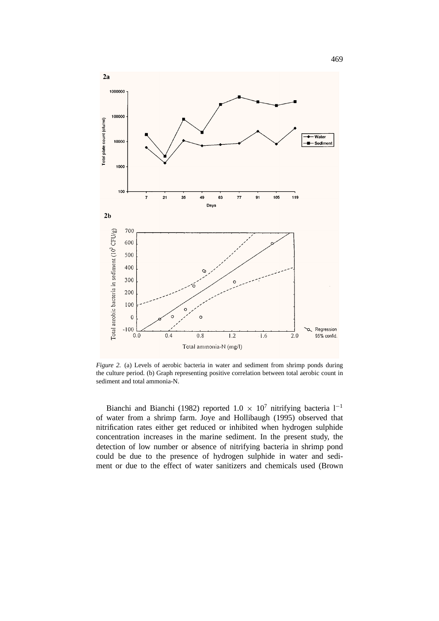

*Figure 2.* (a) Levels of aerobic bacteria in water and sediment from shrimp ponds during the culture period. (b) Graph representing positive correlation between total aerobic count in sediment and total ammonia-N.

Bianchi and Bianchi (1982) reported  $1.0 \times 10^7$  nitrifying bacteria l<sup>-1</sup> of water from a shrimp farm. Joye and Hollibaugh (1995) observed that nitrification rates either get reduced or inhibited when hydrogen sulphide concentration increases in the marine sediment. In the present study, the detection of low number or absence of nitrifying bacteria in shrimp pond could be due to the presence of hydrogen sulphide in water and sediment or due to the effect of water sanitizers and chemicals used (Brown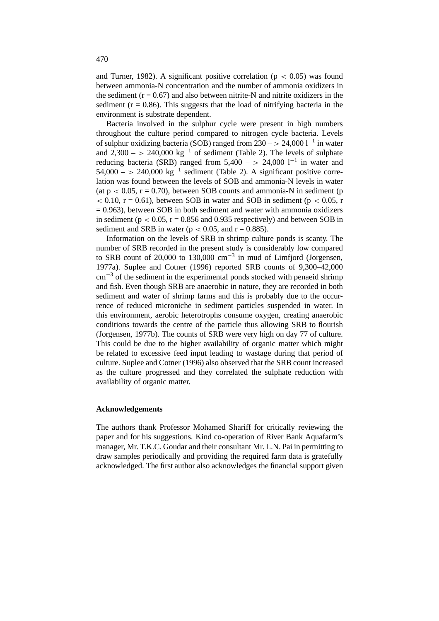and Turner, 1982). A significant positive correlation (p *<* 0.05) was found between ammonia-N concentration and the number of ammonia oxidizers in the sediment  $(r = 0.67)$  and also between nitrite-N and nitrite oxidizers in the sediment ( $r = 0.86$ ). This suggests that the load of nitrifying bacteria in the environment is substrate dependent.

Bacteria involved in the sulphur cycle were present in high numbers throughout the culture period compared to nitrogen cycle bacteria. Levels of sulphur oxidizing bacteria (SOB) ranged from 230 – *>* 24,000 l−<sup>1</sup> in water and  $2,300 - > 240,000 \text{ kg}^{-1}$  of sediment (Table 2). The levels of sulphate reducing bacteria (SRB) ranged from  $5,400 - > 24,000$  l<sup>-1</sup> in water and  $54,000 - > 240,000 \text{ kg}^{-1}$  sediment (Table 2). A significant positive correlation was found between the levels of SOB and ammonia-N levels in water (at  $p < 0.05$ ,  $r = 0.70$ ), between SOB counts and ammonia-N in sediment (p  $\alpha$  < 0.10, r = 0.61), between SOB in water and SOB in sediment (p  $\alpha$  0.05, r  $= 0.963$ ), between SOB in both sediment and water with ammonia oxidizers in sediment ( $p < 0.05$ ,  $r = 0.856$  and 0.935 respectively) and between SOB in sediment and SRB in water ( $p < 0.05$ , and  $r = 0.885$ ).

Information on the levels of SRB in shrimp culture ponds is scanty. The number of SRB recorded in the present study is considerably low compared to SRB count of 20,000 to 130,000 cm<sup>-3</sup> in mud of Limfjord (Jorgensen, 1977a). Suplee and Cotner (1996) reported SRB counts of 9,300–42,000  $\text{cm}^{-3}$  of the sediment in the experimental ponds stocked with penaeid shrimp and fish. Even though SRB are anaerobic in nature, they are recorded in both sediment and water of shrimp farms and this is probably due to the occurrence of reduced microniche in sediment particles suspended in water. In this environment, aerobic heterotrophs consume oxygen, creating anaerobic conditions towards the centre of the particle thus allowing SRB to flourish (Jorgensen, 1977b). The counts of SRB were very high on day 77 of culture. This could be due to the higher availability of organic matter which might be related to excessive feed input leading to wastage during that period of culture. Suplee and Cotner (1996) also observed that the SRB count increased as the culture progressed and they correlated the sulphate reduction with availability of organic matter.

## **Acknowledgements**

The authors thank Professor Mohamed Shariff for critically reviewing the paper and for his suggestions. Kind co-operation of River Bank Aquafarm's manager, Mr. T.K.C. Goudar and their consultant Mr. L.N. Pai in permitting to draw samples periodically and providing the required farm data is gratefully acknowledged. The first author also acknowledges the financial support given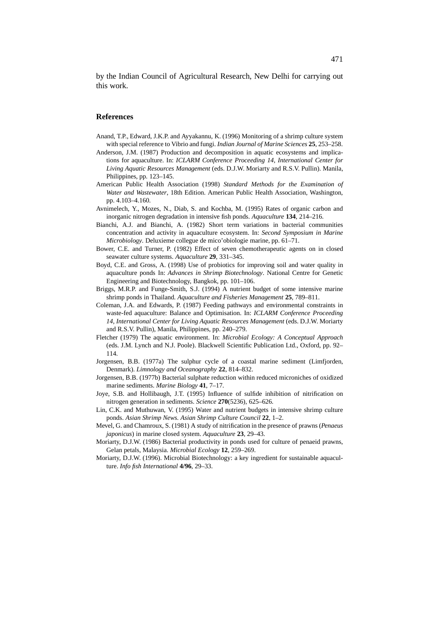by the Indian Council of Agricultural Research, New Delhi for carrying out this work.

## **References**

- Anand, T.P., Edward, J.K.P. and Ayyakannu, K. (1996) Monitoring of a shrimp culture system with special reference to Vibrio and fungi. *Indian Journal of Marine Sciences* **25**, 253–258.
- Anderson, J.M. (1987) Production and decomposition in aquatic ecosystems and implications for aquaculture. In: *ICLARM Conference Proceeding 14, International Center for Living Aquatic Resources Management* (eds. D.J.W. Moriarty and R.S.V. Pullin). Manila, Philippines, pp. 123–145.
- American Public Health Association (1998) *Standard Methods for the Examination of Water and Wastewater*, 18th Edition. American Public Health Association, Washington, pp. 4.103–4.160.
- Avnimelech, Y., Mozes, N., Diab, S. and Kochba, M. (1995) Rates of organic carbon and inorganic nitrogen degradation in intensive fish ponds. *Aquaculture* **134**, 214–216.
- Bianchi, A.J. and Bianchi, A. (1982) Short term variations in bacterial communities concentration and activity in aquaculture ecosystem. In: *Second Symposium in Marine Microbiology*. Deluxieme collegue de mico'obiologie marine, pp. 61–71.
- Bower, C.E. and Turner, P. (1982) Effect of seven chemotherapeutic agents on in closed seawater culture systems. *Aquaculture* **29**, 331–345.
- Boyd, C.E. and Gross, A. (1998) Use of probiotics for improving soil and water quality in aquaculture ponds In: *Advances in Shrimp Biotechnology*. National Centre for Genetic Engineering and Biotechnology, Bangkok, pp. 101–106.
- Briggs, M.R.P. and Funge-Smith, S.J. (1994) A nutrient budget of some intensive marine shrimp ponds in Thailand. *Aquaculture and Fisheries Management* **25**, 789–811.
- Coleman, J.A. and Edwards, P. (1987) Feeding pathways and environmental constraints in waste-fed aquaculture: Balance and Optimisation. In: *ICLARM Conference Proceeding 14, International Center for Living Aquatic Resources Management* (eds. D.J.W. Moriarty and R.S.V. Pullin), Manila, Philippines, pp. 240–279.
- Fletcher (1979) The aquatic environment. In: *Microbial Ecology: A Conceptual Approach* (eds. J.M. Lynch and N.J. Poole). Blackwell Scientific Publication Ltd., Oxford, pp. 92– 114.
- Jorgensen, B.B. (1977a) The sulphur cycle of a coastal marine sediment (Limfjorden, Denmark). *Limnology and Oceanography* **22**, 814–832.
- Jorgensen, B.B. (1977b) Bacterial sulphate reduction within reduced microniches of oxidized marine sediments. *Marine Biology* **41**, 7–17.
- Joye, S.B. and Hollibaugh, J.T. (1995) Influence of sulfide inhibition of nitrification on nitrogen generation in sediments. *Science* **270**(5236), 625–626.
- Lin, C.K. and Muthuwan, V. (1995) Water and nutrient budgets in intensive shrimp culture ponds. *Asian Shrimp News. Asian Shrimp Culture Council* **22**, 1–2.
- Mevel, G. and Chamroux, S. (1981) A study of nitrification in the presence of prawns (*Penaeus japonicus*) in marine closed system. *Aquaculture* **23**, 29–43.
- Moriarty, D.J.W. (1986) Bacterial productivity in ponds used for culture of penaeid prawns, Gelan petals, Malaysia. *Microbial Ecology* **12**, 259–269.
- Moriarty, D.J.W. (1996). Microbial Biotechnology: a key ingredient for sustainable aquaculture. *Info fish International* **4/96**, 29–33.